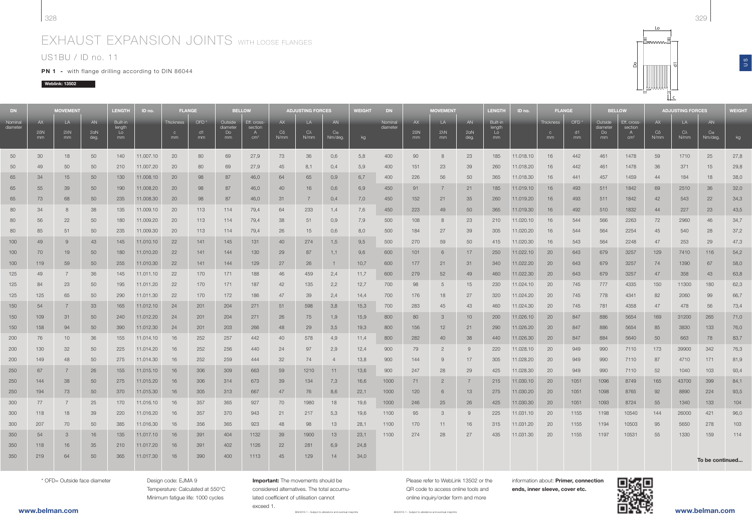# EXHAUST EXPANSION JOINTS WITH LOOSE FLANGES

## US1BU / ID no. 11

PN 1 - with flange drilling according to DIN 86044

### Weblink: 13502

| <b>DN</b>           |                         | <b>MOVEMENT</b>          |                   | <b>LENGTH</b>                  | ID no.    | <b>FLANGE</b>                   |                              | <b>BELLOW</b>                   |                                                | <b>ADJUSTING FORCES</b> |                             |                     | <b>WEIGHT</b> | <b>DN</b>           |                         | <b>MOVEMENT</b>          |                   |                                | ID no.    | <b>FLANGE</b>                   |                 | <b>BELLOW</b>                   |                                                | <b>ADJUSTING FORCES</b> |                          |                     | WEIGHT |
|---------------------|-------------------------|--------------------------|-------------------|--------------------------------|-----------|---------------------------------|------------------------------|---------------------------------|------------------------------------------------|-------------------------|-----------------------------|---------------------|---------------|---------------------|-------------------------|--------------------------|-------------------|--------------------------------|-----------|---------------------------------|-----------------|---------------------------------|------------------------------------------------|-------------------------|--------------------------|---------------------|--------|
| Nominal<br>diameter | AX<br>$2\delta N$<br>mm | LA<br>$2\lambda N$<br>mm | AN<br>2aN<br>deg. | Built-in<br>length<br>Lo<br>mm |           | Thickness<br>$\mathbf{C}$<br>mm | OFD <sup>*</sup><br>d1<br>mm | Outside<br>diameter<br>Do<br>mm | Eff. cross-<br>section<br>A<br>cm <sup>2</sup> | AX<br>$C\delta$<br>N/mm | LA<br>$C_{\lambda}$<br>N/mm | AN<br>Ca<br>Nm/deg. | kg            | Nominal<br>diameter | AX<br>$2\delta N$<br>mm | LA<br>$2\lambda N$<br>mm | AN<br>2aN<br>deg. | Built-in<br>length<br>Lo<br>mm |           | Thickness<br>$\mathbf{C}$<br>mm | OFD<br>d1<br>mm | Outside<br>diameter<br>Do<br>mm | Eff. cross-<br>section<br>A<br>cm <sup>2</sup> | AX<br>$C\delta$<br>N/mm | LA<br>$C\lambda$<br>N/mm | AN<br>Ca<br>Nm/deg. | kg     |
| 50                  | 30                      | 18                       | 50                | 140                            | 11.007.10 | 20                              | 80                           | 69                              | 27,9                                           | 73                      | 36                          | 0,6                 | 5,8           | 400                 | 90                      | 8                        | 23                | 185                            | 11.018.10 | 16                              | 442             | 461                             | 1478                                           | 59                      | 1710                     | 25                  | 27,8   |
| 50                  | 49                      | 50                       | 50                | 210                            | 11.007.20 | 20                              | 80                           | 69                              | 27,9                                           | 45                      | 8,1                         | 0,4                 | 5,9           | 400                 | 151                     | 23                       | 39                | 260                            | 11.018.20 | 16                              | 442             | 461                             | 1478                                           | 36                      | 371                      | 15                  | 29,8   |
| 65                  | 34                      | 15                       | 50                | 130                            | 11.008.10 | 20                              | 98                           | 87                              | 46,0                                           | 64                      | 65                          | 0,9                 | 6,7           | 400                 | 226                     | 56                       | 50                | 365                            | 11.018.30 | 16                              | 441             | 457                             | 1459                                           | 44                      | 184                      | 18                  | 38,0   |
| 65                  | 55                      | 39                       | 50                | 190                            | 11.008.20 | 20                              | 98                           | 87                              | 46,0                                           | 40                      | 16                          | 0,6                 | 6,9           | 450                 | 91                      | $\overline{7}$           | 21                | 185                            | 11.019.10 | 16                              | 493             | 511                             | 1842                                           | 69                      | 2510                     | 36                  | 32,0   |
| 65                  | 73                      | 68                       | 50                | 235                            | 11.008.30 | 20                              | 98                           | 87                              | 46,0                                           | 31                      | 7                           | 0,4                 | 7,0           | 450                 | 152                     | 21                       | 35                | 260                            | 11.019.20 | 16                              | 493             | 511                             | 1842                                           | 42                      | 543                      | 22                  | 34,3   |
| 80                  | 34                      | 8                        | 38                | 135                            | 11.009.10 | 20                              | 113                          | 114                             | 79,4                                           | 64                      | 233                         | 1,4                 | 7.6           | 450                 | 223                     | 49                       | 50                | 365                            | 11.019.30 | 16                              | 492             | 510                             | 1832                                           | 44                      | 227                      | 23                  | 43,5   |
| 80                  | 56                      | 22                       | 50                | 180                            | 11.009.20 | 20                              | 113                          | 114                             | 79,4                                           | 38                      | 51                          | 0.9                 | 7,9           | 500                 | 108                     | 8                        | 23                | 210                            | 11.020.10 | 16                              | 544             | 566                             | 2263                                           | 72                      | 2960                     | 46                  | 34,7   |
| 80                  | 85                      | 51                       | 50                | 235                            | 11.009.30 | 20                              | 113                          | 114                             | 79,4                                           | 26                      | 15                          | 0,6                 | 8,0           | 500                 | 184                     | 27                       | 39                | 305                            | 11.020.20 | 16                              | 544             | 564                             | 2254                                           | 45                      | 540                      | 28                  | 37,2   |
| 100                 | 49                      | 9                        | 43                | 145                            | 11.010.10 | 22                              | 141                          | 145                             | 131                                            | 40                      | 274                         | 1,5                 | 9,5           | 500                 | 270                     | 59                       | 50                | 415                            | 11.020.30 | 16                              | 543             | 564                             | 2248                                           | 47                      | 253                      | 29                  | 47,3   |
| 100                 | 70                      | 19                       | 50                | 180                            | 11.010.20 | 22                              | 141                          | 144                             | 130                                            | 29                      | 87                          | 1,1                 | 9,6           | 600                 | 101                     | 6                        | 17                | 250                            | 11.022.10 | 20                              | 643             | 679                             | 3257                                           | 129                     | 7410                     | 116                 | 54,2   |
| 100                 | 119                     | 59                       | 50                | 255                            | 11.010.30 | 22                              | 141                          | 144                             | 129                                            | 27                      | 26                          | $\mathbf{1}$        | 10,7          | 600                 | 177                     | 21                       | -31               | 340                            | 11.022.20 | 20                              | 643             | 679                             | 3257                                           | 74                      | 1390                     | 67                  | 58,0   |
| 125                 | 49                      | 7                        | 36                | 145                            | 11.011.10 | 22                              | 170                          | 171                             | 188                                            | 46                      | 459                         | 2,4                 | 11,7          | 600                 | 279                     | 52                       | 49                | 460                            | 11.022.30 | 20                              | 643             | 679                             | 3257                                           | 47                      | 358                      | 43                  | 63,8   |
| 125                 | 84                      | 23                       | 50                | 195                            | 11.011.20 | 22                              | 170                          | 171                             | 187                                            | 42                      | 135                         | 2,2                 | 12,7          | 700                 | 98                      | 5                        | 15                | 230                            | 11.024.10 | 20                              | 745             | 777                             | 4335                                           | 150                     | 11300                    | 180                 | 62,3   |
| 125                 | 125                     | 65                       | 50                | 290                            | 11.011.30 | 22                              | 170                          | 172                             | 186                                            | 47                      | 39                          | 2,4                 | 14,4          | 700                 | 176                     | 18                       | 27                | 320                            | 11.024.20 | 20                              | 745             | 778                             | 4341                                           | 82                      | 2060                     | 99                  | 66,7   |
| 150                 | 54                      | $\overline{7}$           | 33                | 165                            | 11.012.10 | 24                              | 201                          | 204                             | 271                                            | 51                      | 598                         | 3,8                 | 15,3          | 700                 | 283                     | 45                       | 43                | 460                            | 11.024.30 | 20                              | 745             | 781                             | 4358                                           | 47                      | 478                      | 56                  | 73,4   |
| 150                 | 109                     | 31                       | 50                | 240                            | 11.012.20 | 24                              | 201                          | 204                             | 271                                            | 26                      | 75                          | 1,9                 | 15,9          | 800                 | 80                      | $\mathcal{S}$            | 10                | 200                            | 11.026.10 | 20                              | 847             | 886                             | 5654                                           | 169                     | 31200                    | 265                 | 71,0   |
| 150                 | 158                     | 94                       | 50                | 390                            | 11.012.30 | 24                              | 201                          | 203                             | 266                                            | 48                      | 29                          | 3,5                 | 19,3          | 800                 | 156                     | 12                       | 21                | 290                            | 11.026.20 | 20                              | 847             | 886                             | 5654                                           | 85                      | 3830                     | 133                 | 76,0   |
| 200                 | 76                      | 10 <sup>10</sup>         | 36                | 155                            | 11.014.10 | 16                              | 252                          | 257                             | 442                                            | 40                      | 578                         | 4,9                 | 11,4          | 800                 | 282                     | 40                       | 38                | 440                            | 11.026.30 | 20                              | 847             | 884                             | 5640                                           | 50                      | 663                      | 78                  | 83,7   |
| 200                 | 130                     | 32                       | 50                | 225                            | 11.014.20 | 16                              | 252                          | 256                             | 440                                            | 24                      | 97                          | 2,9                 | 12,4          | 900                 | 79                      | $\overline{2}$           | -9                | 220                            | 11.028.10 | 20                              | 949             | 990                             | 7110                                           | 173                     | 39900                    | 342                 | 76,3   |
| 200                 | 149                     | 48                       | 50                | 275                            | 11.014.30 | 16                              | 252                          | 259                             | 444                                            | 32                      | 74                          | $\overline{a}$      | 13,8          | 900                 | 144                     | 9                        | 17                | 305                            | 11.028.20 | 20                              | 949             | 990                             | 7110                                           | 87                      | 4710                     | 171                 | 81,9   |
| 250                 | 67                      | $\overline{7}$           | 26                | 155                            | 11.015.10 | 16                              | 306                          | 309                             | 663                                            | 59                      | 1210                        | 11                  | 13,6          | 900                 | 247                     | 28                       | 29                | 425                            | 11.028.30 | 20                              | 949             | 990                             | 7110                                           | 52                      | 1040                     | 103                 | 93,4   |
| 250                 | 144                     | 38                       | 50                | 275                            | 11.015.20 | 16                              | 306                          | 314                             | 673                                            | 39                      | 134                         | 7,3                 | 16,6          | 1000                | 71                      | $\overline{2}$           |                   | 215                            | 11.030.10 | 20                              | 1051            | 1096                            | 8749                                           | 165                     | 43700                    | 399                 | 84,1   |
| 250                 | 194                     | 73                       | 50                | 370                            | 11.015.30 | 16                              | 305                          | 313                             | 667                                            | 47                      | 76                          | 8,6                 | 22,1          | 1000                | 120                     | 6                        | 13                | 275                            | 11.030.20 | 20                              | 1051            | 1098                            | 8765                                           | 92                      | 8890                     | 224                 | 93,5   |
| 300                 | 77                      | $\overline{7}$           | 25                | 170                            | 11.016.10 | 16                              | 357                          | 365                             | 927                                            | 70                      | 1980                        | 18                  | 19,6          | 1000                | 246                     | 25                       | 26                | 425                            | 11.030.30 | 20                              | 1051            | 1093                            | 8724                                           | 55                      | 1340                     | 133                 | 104    |
| 300                 | 118                     | 18                       | 39                | 220                            | 11.016.20 | 16                              | 357                          | 370                             | 943                                            | 21                      | 217                         | 5,3                 | 19,6          | 1100                | 95                      | 3                        | -9                | 225                            | 11.031.10 | 20                              | 1155            | 1198                            | 10540                                          | 144                     | 26000                    | 421                 | 96,0   |
| 300                 | 207                     | 70                       | 50                | 385                            | 11.016.30 | 16                              | 356                          | 365                             | 923                                            | 48                      | 98                          | 13                  | 28,1          | 1100                | 170                     | 11                       | 16                | 315                            | 11.031.20 | 20                              | 1155            | 1194                            | 10503                                          | 95                      | 5650                     | 278                 | 103    |
| 350                 | 54                      | 3                        | 16                | 135                            | 11.017.10 | 16                              | 391                          | 404                             | 1132                                           | 39                      | 1900                        | 13                  | 23,1          | 1100                | 274                     | 28                       | 27                | 435                            | 11.031.30 | 20                              | 1155            | 1197                            | 10531                                          | 55                      | 1330                     | 159                 | 114    |
| 350                 | 118                     | 16                       | 35                | 210                            | 11.017.20 | 16                              | 391                          | 402                             | 1126                                           | 22                      | 281                         | 6,9                 | 24,8          |                     |                         |                          |                   |                                |           |                                 |                 |                                 |                                                |                         |                          |                     |        |
| 350                 | 219                     | 64                       | 50                | 365                            | 11.017.30 | 16                              | 390                          | 400                             | 1113                                           | 45                      | 129                         | 14                  | 34,0          |                     |                         |                          |                   |                                |           |                                 |                 |                                 |                                                |                         |                          | To be continued     |        |

\* OFD= Outside face diameter

Design code: EJMA 9 Temperature: Calculated at 550°C Minimum fatigue life: 1000 cycles

B022016-1 – Subject to alterations and eventual misprintsImportant: The movements should be considered alternatives. The total accumulated coefficient of utilisation cannot exceed 1.

Please refer to WebLink 13502 or the QR code to access online tools andonline inquiry/order form and more

information about: Primer, connection ends, inner sleeve, cover etc.



Lo

Do

c

듕

B022016-1 – Subject to alterations and eventual misprints